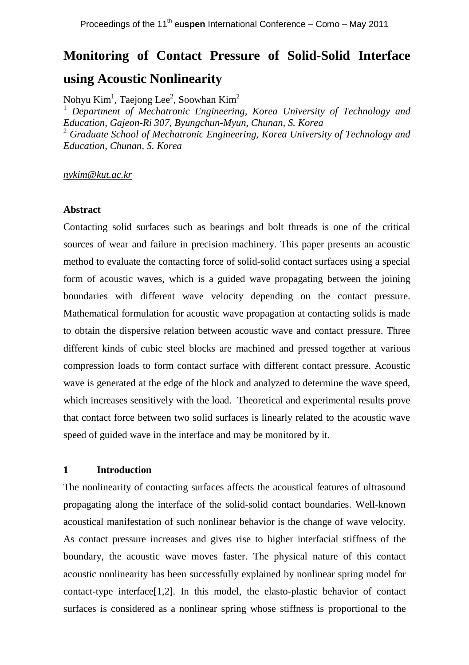# **Monitoring of Contact Pressure of Solid-Solid Interface using Acoustic Nonlinearity**

Nohyu Kim<sup>1</sup>, Taejong Lee<sup>2</sup>, Soowhan Kim<sup>2</sup>

<sup>1</sup> *Department of Mechatronic Engineering, Korea University of Technology and Education, Gajeon-Ri 307, Byungchun-Myun, Chunan, S. Korea* <sup>2</sup> *Graduate School of Mechatronic Engineering, Korea University of Technology and Education, Chunan, S. Korea*

*nykim@kut.ac.kr*

### **Abstract**

Contacting solid surfaces such as bearings and bolt threads is one of the critical sources of wear and failure in precision machinery. This paper presents an acoustic method to evaluate the contacting force of solid-solid contact surfaces using a special form of acoustic waves, which is a guided wave propagating between the joining boundaries with different wave velocity depending on the contact pressure. Mathematical formulation for acoustic wave propagation at contacting solids is made to obtain the dispersive relation between acoustic wave and contact pressure. Three different kinds of cubic steel blocks are machined and pressed together at various compression loads to form contact surface with different contact pressure. Acoustic wave is generated at the edge of the block and analyzed to determine the wave speed, which increases sensitively with the load. Theoretical and experimental results prove that contact force between two solid surfaces is linearly related to the acoustic wave speed of guided wave in the interface and may be monitored by it.

# **1 Introduction**

The nonlinearity of contacting surfaces affects the acoustical features of ultrasound propagating along the interface of the solid-solid contact boundaries. Well-known acoustical manifestation of such nonlinear behavior is the change of wave velocity. As contact pressure increases and gives rise to higher interfacial stiffness of the boundary, the acoustic wave moves faster. The physical nature of this contact acoustic nonlinearity has been successfully explained by nonlinear spring model for contact-type interface[1,2]. In this model, the elasto-plastic behavior of contact surfaces is considered as a nonlinear spring whose stiffness is proportional to the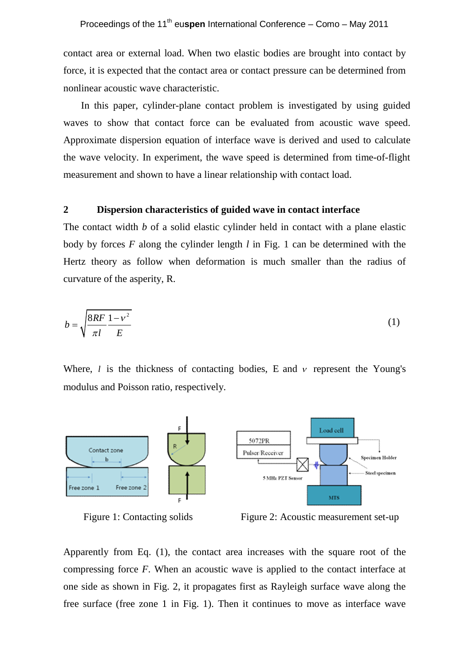contact area or external load. When two elastic bodies are brought into contact by force, it is expected that the contact area or contact pressure can be determined from nonlinear acoustic wave characteristic.

In this paper, cylinder-plane contact problem is investigated by using guided waves to show that contact force can be evaluated from acoustic wave speed. Approximate dispersion equation of interface wave is derived and used to calculate the wave velocity. In experiment, the wave speed is determined from time-of-flight measurement and shown to have a linear relationship with contact load.

# **2 Dispersion characteristics of guided wave in contact interface**

The contact width *b* of a solid elastic cylinder held in contact with a plane elastic body by forces *F* along the cylinder length *l* in Fig. 1 can be determined with the Hertz theory as follow when deformation is much smaller than the radius of curvature of the asperity, R.

$$
b = \sqrt{\frac{8RF}{\pi l} \frac{1 - v^2}{E}}
$$
 (1)

Where,  $l$  is the thickness of contacting bodies, E and  $v$  represent the Young's modulus and Poisson ratio, respectively.





Figure 1: Contacting solids Figure 2: Acoustic measurement set-up

Apparently from Eq. (1), the contact area increases with the square root of the compressing force *F*. When an acoustic wave is applied to the contact interface at one side as shown in Fig. 2, it propagates first as Rayleigh surface wave along the free surface (free zone 1 in Fig. 1). Then it continues to move as interface wave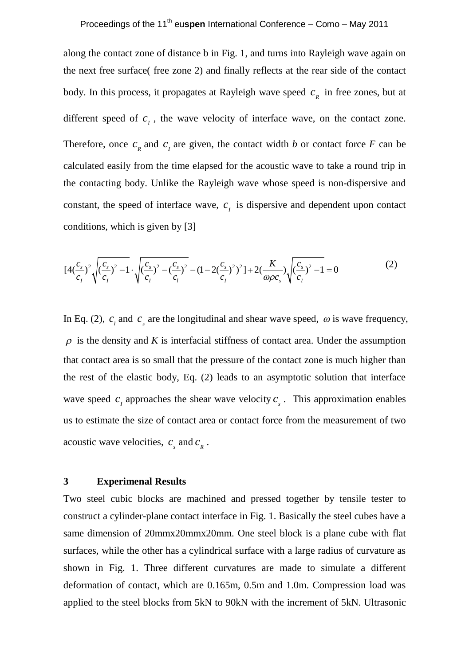along the contact zone of distance b in Fig. 1, and turns into Rayleigh wave again on the next free surface( free zone 2) and finally reflects at the rear side of the contact body. In this process, it propagates at Rayleigh wave speed  $c<sub>g</sub>$  in free zones, but at different speed of  $c_i$ , the wave velocity of interface wave, on the contact zone. Therefore, once  $c<sub>k</sub>$  and  $c<sub>l</sub>$  are given, the contact width *b* or contact force *F* can be calculated easily from the time elapsed for the acoustic wave to take a round trip in the contacting body. Unlike the Rayleigh wave whose speed is non-dispersive and constant, the speed of interface wave,  $c<sub>i</sub>$  is dispersive and dependent upon contact conditions, which is given by [3]

$$
[4(\frac{c_s}{c_1})^2 \sqrt{\frac{(c_s}{c_1})^2 - 1} \cdot \sqrt{\frac{(c_s}{c_1})^2 - (\frac{c_s}{c_1})^2} - (1 - 2(\frac{c_s}{c_1})^2) + 2(\frac{K}{\omega \rho c_s}) \sqrt{\frac{(c_s}{c_1})^2 - 1} = 0
$$
\n(2)

In Eq. (2),  $c_i$  and  $c_s$  are the longitudinal and shear wave speed,  $\omega$  is wave frequency,  $\rho$  is the density and *K* is interfacial stiffness of contact area. Under the assumption that contact area is so small that the pressure of the contact zone is much higher than the rest of the elastic body, Eq. (2) leads to an asymptotic solution that interface wave speed  $c_i$  approaches the shear wave velocity  $c_s$ . This approximation enables us to estimate the size of contact area or contact force from the measurement of two acoustic wave velocities,  $c_s$  and  $c_R$ .

#### **3 Experimenal Results**

Two steel cubic blocks are machined and pressed together by tensile tester to construct a cylinder-plane contact interface in Fig. 1. Basically the steel cubes have a same dimension of 20mmx20mmx20mm. One steel block is a plane cube with flat surfaces, while the other has a cylindrical surface with a large radius of curvature as shown in Fig. 1. Three different curvatures are made to simulate a different deformation of contact, which are 0.165m, 0.5m and 1.0m. Compression load was applied to the steel blocks from 5kN to 90kN with the increment of 5kN. Ultrasonic